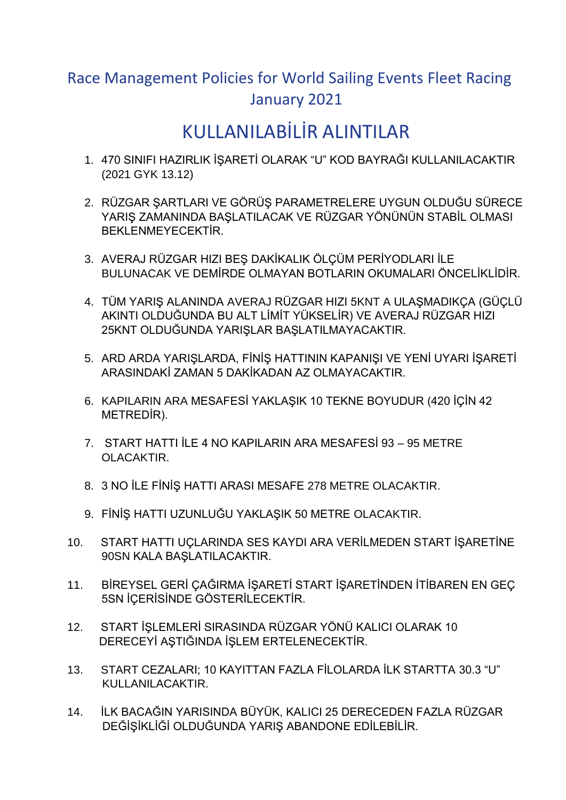## Race Management Policies for World Sailing Events Fleet Racing January 2021

## KULLANILABİLİR ALINTILAR

- 1. 470 SINIFI HAZIRLIK İŞARETİ OLARAK "U" KOD BAYRAĞI KULLANILACAKTIR (2021 GYK 13.12)
- 2. RÜZGAR ŞARTLARI VE GÖRÜŞ PARAMETRELERE UYGUN OLDUĞU SÜRECE YARIŞ ZAMANINDA BAŞLATILACAK VE RÜZGAR YÖNÜNÜN STABİL OLMASI BEKLENMEYECEKTİR.
- 3. AVERAJ RÜZGAR HIZI BEŞ DAKİKALIK ÖLÇÜM PERİYODLARI İLE BULUNACAK VE DEMİRDE OLMAYAN BOTLARIN OKUMALARI ÖNCELİKLİDİR.
- 4. TÜM YARIŞ ALANINDA AVERAJ RÜZGAR HIZI 5KNT A ULAŞMADIKÇA (GÜÇLÜ AKINTI OLDUĞUNDA BU ALT LİMİT YÜKSELİR) VE AVERAJ RÜZGAR HIZI 25KNT OLDUĞUNDA YARIŞLAR BAŞLATILMAYACAKTIR.
- 5. ARD ARDA YARIŞLARDA, FİNİŞ HATTININ KAPANIŞI VE YENİ UYARI İŞARETİ ARASINDAKİ ZAMAN 5 DAKİKADAN AZ OLMAYACAKTIR.
- 6. KAPILARIN ARA MESAFESİ YAKLAŞIK 10 TEKNE BOYUDUR (420 İÇİN 42 METREDİR).
- 7. START HATTI İLE 4 NO KAPILARIN ARA MESAFESİ 93 95 METRE OLACAKTIR.
- 8. 3 NO İLE FİNİŞ HATTI ARASI MESAFE 278 METRE OLACAKTIR.
- 9. FİNİŞ HATTI UZUNLUĞU YAKLAŞIK 50 METRE OLACAKTIR.
- 10. START HATTI UÇLARINDA SES KAYDI ARA VERİLMEDEN START İŞARETİNE 90SN KALA BAŞLATILACAKTIR.
- 11. BİREYSEL GERİ ÇAĞIRMA İŞARETİ START İŞARETİNDEN İTİBAREN EN GEÇ 5SN İÇERİSİNDE GÖSTERİLECEKTİR.
- 12. START İŞLEMLERİ SIRASINDA RÜZGAR YÖNÜ KALICI OLARAK 10 DERECEYİ AŞTIĞINDA İŞLEM ERTELENECEKTİR.
- 13. START CEZALARI; 10 KAYITTAN FAZLA FİLOLARDA İLK STARTTA 30.3 "U" KULLANILACAKTIR.
- 14. İLK BACAĞIN YARISINDA BÜYÜK, KALICI 25 DERECEDEN FAZLA RÜZGAR DEĞİŞİKLİĞİ OLDUĞUNDA YARIŞ ABANDONE EDİLEBİLİR.